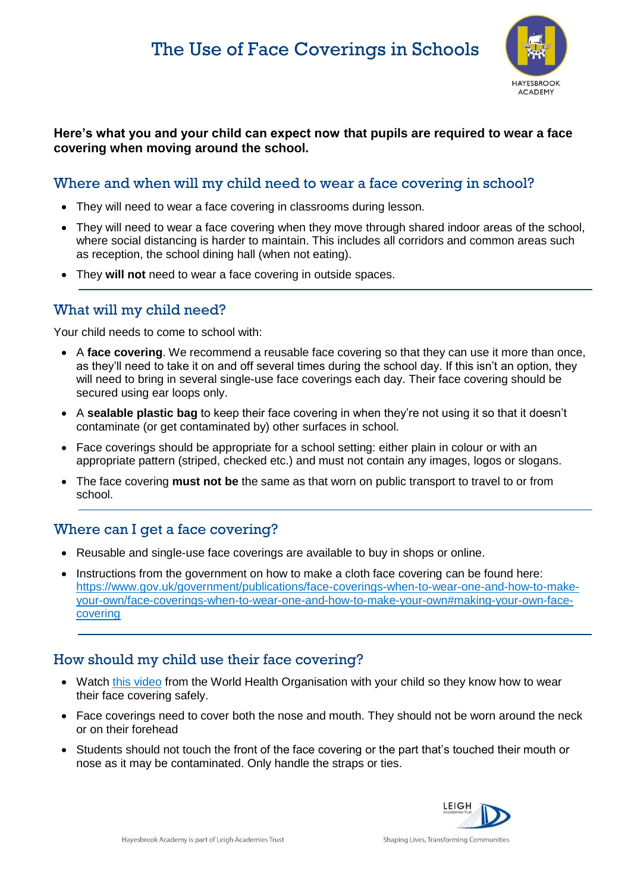

### **Here's what you and your child can expect now that pupils are required to wear a face covering when moving around the school.**

# Where and when will my child need to wear a face covering in school?

- They will need to wear a face covering in classrooms during lesson.
- They will need to wear a face covering when they move through shared indoor areas of the school, where social distancing is harder to maintain. This includes all corridors and common areas such as reception, the school dining hall (when not eating).
- They **will not** need to wear a face covering in outside spaces.

## What will my child need?

Your child needs to come to school with:

- A **face covering**. We recommend a reusable face covering so that they can use it more than once, as they'll need to take it on and off several times during the school day. If this isn't an option, they will need to bring in several single-use face coverings each day. Their face covering should be secured using ear loops only.
- A **sealable plastic bag** to keep their face covering in when they're not using it so that it doesn't contaminate (or get contaminated by) other surfaces in school.
- Face coverings should be appropriate for a school setting: either plain in colour or with an appropriate pattern (striped, checked etc.) and must not contain any images, logos or slogans.
- The face covering **must not be** the same as that worn on public transport to travel to or from school.

## Where can I get a face covering?

- Reusable and single-use face coverings are available to buy in shops or online.
- Instructions from the government on how to make a cloth face covering can be found here: [https://www.gov.uk/government/publications/face-coverings-when-to-wear-one-and-how-to-make](https://www.gov.uk/government/publications/face-coverings-when-to-wear-one-and-how-to-make-your-own/face-coverings-when-to-wear-one-and-how-to-make-your-own#making-your-own-face-covering)[your-own/face-coverings-when-to-wear-one-and-how-to-make-your-own#making-your-own-face](https://www.gov.uk/government/publications/face-coverings-when-to-wear-one-and-how-to-make-your-own/face-coverings-when-to-wear-one-and-how-to-make-your-own#making-your-own-face-covering)[covering](https://www.gov.uk/government/publications/face-coverings-when-to-wear-one-and-how-to-make-your-own/face-coverings-when-to-wear-one-and-how-to-make-your-own#making-your-own-face-covering)

## How should my child use their face covering?

- Watch this [video](https://www.youtube.com/watch?v=9Tv2BVN_WTk) from the World Health Organisation with your child so they know how to wear their face covering safely.
- Face coverings need to cover both the nose and mouth. They should not be worn around the neck or on their forehead
- Students should not touch the front of the face covering or the part that's touched their mouth or nose as it may be contaminated. Only handle the straps or ties.